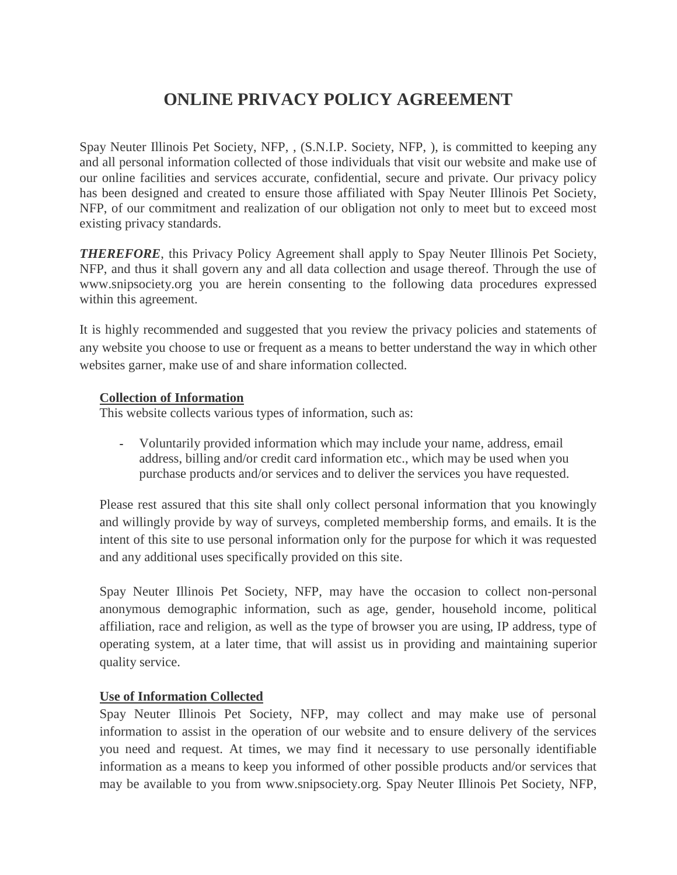# **ONLINE PRIVACY POLICY AGREEMENT**

Spay Neuter Illinois Pet Society, NFP, , (S.N.I.P. Society, NFP, ), is committed to keeping any and all personal information collected of those individuals that visit our website and make use of our online facilities and services accurate, confidential, secure and private. Our privacy policy has been designed and created to ensure those affiliated with Spay Neuter Illinois Pet Society, NFP, of our commitment and realization of our obligation not only to meet but to exceed most existing privacy standards.

*THEREFORE*, this Privacy Policy Agreement shall apply to Spay Neuter Illinois Pet Society, NFP, and thus it shall govern any and all data collection and usage thereof. Through the use of www.snipsociety.org you are herein consenting to the following data procedures expressed within this agreement.

It is highly recommended and suggested that you review the privacy policies and statements of any website you choose to use or frequent as a means to better understand the way in which other websites garner, make use of and share information collected.

## **Collection of Information**

This website collects various types of information, such as:

- Voluntarily provided information which may include your name, address, email address, billing and/or credit card information etc., which may be used when you purchase products and/or services and to deliver the services you have requested.

Please rest assured that this site shall only collect personal information that you knowingly and willingly provide by way of surveys, completed membership forms, and emails. It is the intent of this site to use personal information only for the purpose for which it was requested and any additional uses specifically provided on this site.

Spay Neuter Illinois Pet Society, NFP, may have the occasion to collect non-personal anonymous demographic information, such as age, gender, household income, political affiliation, race and religion, as well as the type of browser you are using, IP address, type of operating system, at a later time, that will assist us in providing and maintaining superior quality service.

# **Use of Information Collected**

Spay Neuter Illinois Pet Society, NFP, may collect and may make use of personal information to assist in the operation of our website and to ensure delivery of the services you need and request. At times, we may find it necessary to use personally identifiable information as a means to keep you informed of other possible products and/or services that may be available to you from www.snipsociety.org. Spay Neuter Illinois Pet Society, NFP,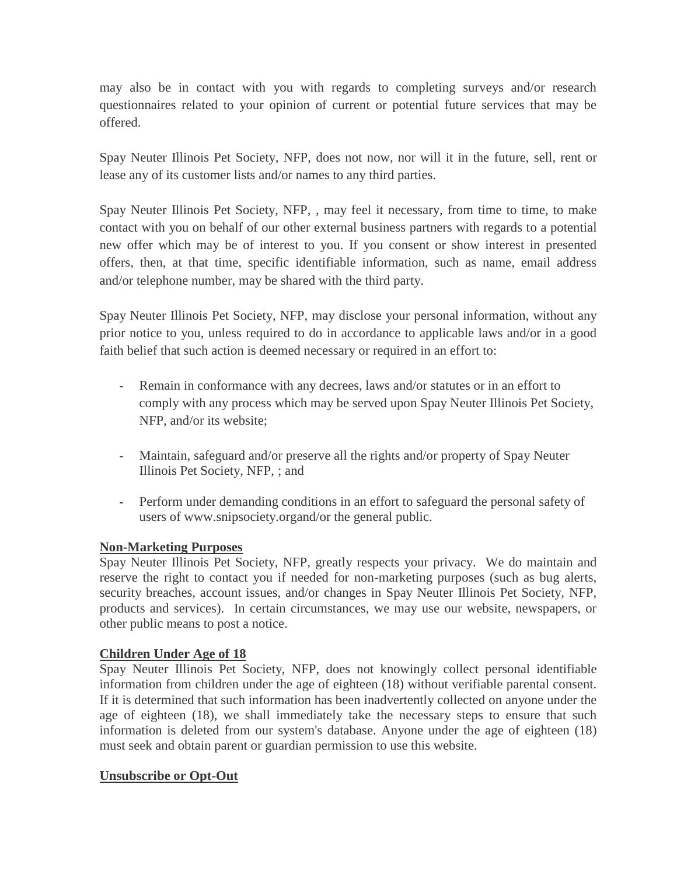may also be in contact with you with regards to completing surveys and/or research questionnaires related to your opinion of current or potential future services that may be offered.

Spay Neuter Illinois Pet Society, NFP, does not now, nor will it in the future, sell, rent or lease any of its customer lists and/or names to any third parties.

Spay Neuter Illinois Pet Society, NFP, , may feel it necessary, from time to time, to make contact with you on behalf of our other external business partners with regards to a potential new offer which may be of interest to you. If you consent or show interest in presented offers, then, at that time, specific identifiable information, such as name, email address and/or telephone number, may be shared with the third party.

Spay Neuter Illinois Pet Society, NFP, may disclose your personal information, without any prior notice to you, unless required to do in accordance to applicable laws and/or in a good faith belief that such action is deemed necessary or required in an effort to:

- Remain in conformance with any decrees, laws and/or statutes or in an effort to comply with any process which may be served upon Spay Neuter Illinois Pet Society, NFP, and/or its website;
- Maintain, safeguard and/or preserve all the rights and/or property of Spay Neuter Illinois Pet Society, NFP, ; and
- Perform under demanding conditions in an effort to safeguard the personal safety of users of www.snipsociety.organd/or the general public.

# **Non-Marketing Purposes**

Spay Neuter Illinois Pet Society, NFP, greatly respects your privacy. We do maintain and reserve the right to contact you if needed for non-marketing purposes (such as bug alerts, security breaches, account issues, and/or changes in Spay Neuter Illinois Pet Society, NFP, products and services). In certain circumstances, we may use our website, newspapers, or other public means to post a notice.

#### **Children Under Age of 18**

Spay Neuter Illinois Pet Society, NFP, does not knowingly collect personal identifiable information from children under the age of eighteen (18) without verifiable parental consent. If it is determined that such information has been inadvertently collected on anyone under the age of eighteen (18), we shall immediately take the necessary steps to ensure that such information is deleted from our system's database. Anyone under the age of eighteen (18) must seek and obtain parent or guardian permission to use this website.

#### **Unsubscribe or Opt-Out**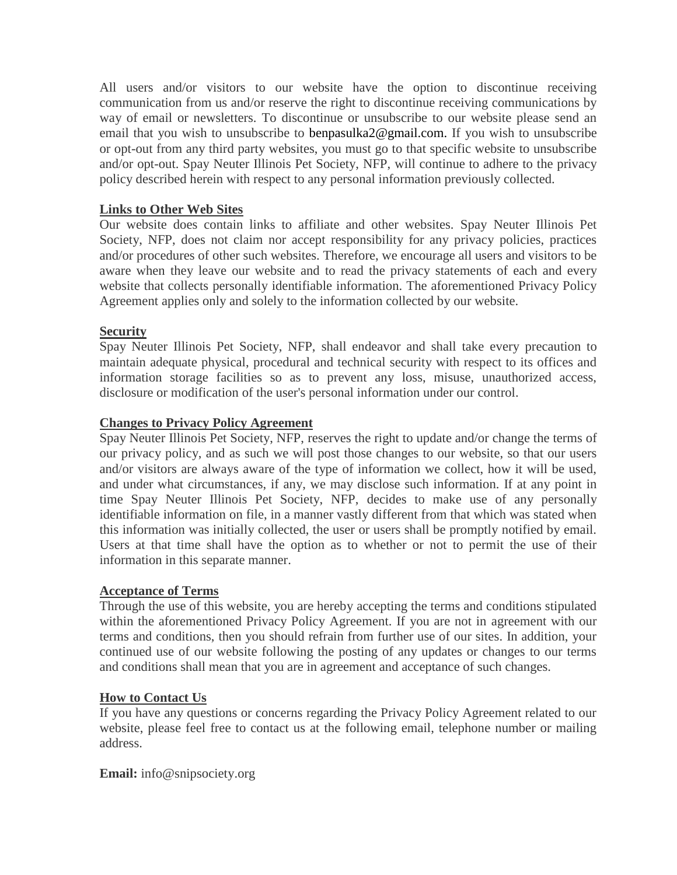All users and/or visitors to our website have the option to discontinue receiving communication from us and/or reserve the right to discontinue receiving communications by way of email or newsletters. To discontinue or unsubscribe to our website please send an email that you wish to unsubscribe to benpasulka2@gmail.com. If you wish to unsubscribe or opt-out from any third party websites, you must go to that specific website to unsubscribe and/or opt-out. Spay Neuter Illinois Pet Society, NFP, will continue to adhere to the privacy policy described herein with respect to any personal information previously collected.

## **Links to Other Web Sites**

Our website does contain links to affiliate and other websites. Spay Neuter Illinois Pet Society, NFP, does not claim nor accept responsibility for any privacy policies, practices and/or procedures of other such websites. Therefore, we encourage all users and visitors to be aware when they leave our website and to read the privacy statements of each and every website that collects personally identifiable information. The aforementioned Privacy Policy Agreement applies only and solely to the information collected by our website.

#### **Security**

Spay Neuter Illinois Pet Society, NFP, shall endeavor and shall take every precaution to maintain adequate physical, procedural and technical security with respect to its offices and information storage facilities so as to prevent any loss, misuse, unauthorized access, disclosure or modification of the user's personal information under our control.

## **Changes to Privacy Policy Agreement**

Spay Neuter Illinois Pet Society, NFP, reserves the right to update and/or change the terms of our privacy policy, and as such we will post those changes to our website, so that our users and/or visitors are always aware of the type of information we collect, how it will be used, and under what circumstances, if any, we may disclose such information. If at any point in time Spay Neuter Illinois Pet Society, NFP, decides to make use of any personally identifiable information on file, in a manner vastly different from that which was stated when this information was initially collected, the user or users shall be promptly notified by email. Users at that time shall have the option as to whether or not to permit the use of their information in this separate manner.

#### **Acceptance of Terms**

Through the use of this website, you are hereby accepting the terms and conditions stipulated within the aforementioned Privacy Policy Agreement. If you are not in agreement with our terms and conditions, then you should refrain from further use of our sites. In addition, your continued use of our website following the posting of any updates or changes to our terms and conditions shall mean that you are in agreement and acceptance of such changes.

#### **How to Contact Us**

If you have any questions or concerns regarding the Privacy Policy Agreement related to our website, please feel free to contact us at the following email, telephone number or mailing address.

#### **Email:** info@snipsociety.org